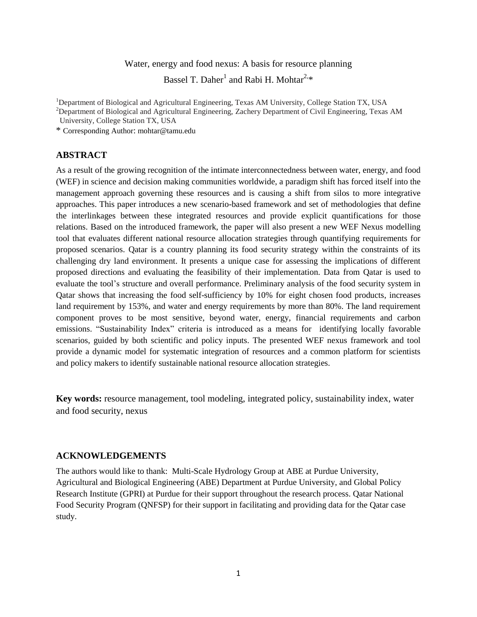# Water, energy and food nexus: A basis for resource planning

Bassel T. Daher<sup>1</sup> and Rabi H. Mohtar<sup>2,\*</sup>

<sup>1</sup>Department of Biological and Agricultural Engineering, Texas AM University, College Station TX, USA

<sup>2</sup>Department of Biological and Agricultural Engineering, Zachery Department of Civil Engineering, Texas AM

University, College Station TX, USA

\* Corresponding Author: [mohtar@tamu.edu](mailto:mohtar@tamu.edu) 

# **ABSTRACT**

As a result of the growing recognition of the intimate interconnectedness between water, energy, and food (WEF) in science and decision making communities worldwide, a paradigm shift has forced itself into the management approach governing these resources and is causing a shift from silos to more integrative approaches. This paper introduces a new scenario-based framework and set of methodologies that define the interlinkages between these integrated resources and provide explicit quantifications for those relations. Based on the introduced framework, the paper will also present a new WEF Nexus modelling tool that evaluates different national resource allocation strategies through quantifying requirements for proposed scenarios. Qatar is a country planning its food security strategy within the constraints of its challenging dry land environment. It presents a unique case for assessing the implications of different proposed directions and evaluating the feasibility of their implementation. Data from Qatar is used to evaluate the tool's structure and overall performance. Preliminary analysis of the food security system in Qatar shows that increasing the food self-sufficiency by 10% for eight chosen food products, increases land requirement by 153%, and water and energy requirements by more than 80%. The land requirement component proves to be most sensitive, beyond water, energy, financial requirements and carbon emissions. "Sustainability Index" criteria is introduced as a means for identifying locally favorable scenarios, guided by both scientific and policy inputs. The presented WEF nexus framework and tool provide a dynamic model for systematic integration of resources and a common platform for scientists and policy makers to identify sustainable national resource allocation strategies.

**Key words:** resource management, tool modeling, integrated policy, sustainability index, water and food security, nexus

# **ACKNOWLEDGEMENTS**

The authors would like to thank: Multi-Scale Hydrology Group at ABE at Purdue University, Agricultural and Biological Engineering (ABE) Department at Purdue University, and Global Policy Research Institute (GPRI) at Purdue for their support throughout the research process. Qatar National Food Security Program (QNFSP) for their support in facilitating and providing data for the Qatar case study.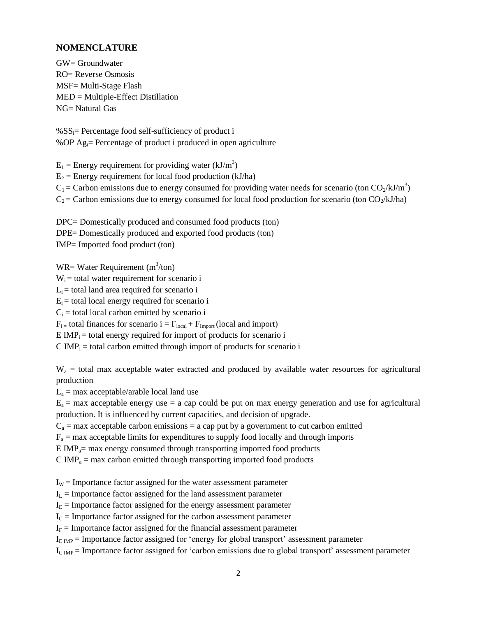# **NOMENCLATURE**

GW= Groundwater RO= Reverse Osmosis MSF= Multi-Stage Flash MED = Multiple-Effect Distillation NG= Natural Gas

 $\%SS_i=$  Percentage food self-sufficiency of product i %OP Agi= Percentage of product i produced in open agriculture

 $E_1$  = Energy requirement for providing water (kJ/m<sup>3</sup>)  $E_2$  = Energy requirement for local food production (kJ/ha)  $C_1$  = Carbon emissions due to energy consumed for providing water needs for scenario (ton  $CO_2/kJ/m^3$ )  $C_2$  = Carbon emissions due to energy consumed for local food production for scenario (ton  $CO_2/kJ/ha$ )

DPC= Domestically produced and consumed food products (ton) DPE= Domestically produced and exported food products (ton) IMP= Imported food product (ton)

 $WR = Water\,$  Requirement  $(m^3/ton)$ 

 $W_i$  = total water requirement for scenario i

 $L<sub>i</sub>$  = total land area required for scenario i

 $E_i$  = total local energy required for scenario i

 $C_i$  = total local carbon emitted by scenario i

 $F_{i}$  = total finances for scenario  $i = F_{local} + F_{Import}$  (local and import)

 $E IMP<sub>i</sub> = total energy required for import of products for scenario i$ 

 $C IMP<sub>i</sub> = total carbon emitted through import of products for scenario i$ 

 $W_a$  = total max acceptable water extracted and produced by available water resources for agricultural production

 $L_a$  = max acceptable/arable local land use

 $E_a$  = max acceptable energy use = a cap could be put on max energy generation and use for agricultural production. It is influenced by current capacities, and decision of upgrade.

 $C_a$  = max acceptable carbon emissions = a cap put by a government to cut carbon emitted

 $F_a$  = max acceptable limits for expenditures to supply food locally and through imports

 $E IMP<sub>a</sub>=$  max energy consumed through transporting imported food products

 $C$  IMP<sub>a</sub> = max carbon emitted through transporting imported food products

 $I_w$  = Importance factor assigned for the water assessment parameter

 $I_L$  = Importance factor assigned for the land assessment parameter

 $I<sub>E</sub>$  = Importance factor assigned for the energy assessment parameter

 $I_c$  = Importance factor assigned for the carbon assessment parameter

 $I<sub>F</sub>$  = Importance factor assigned for the financial assessment parameter

 $I_{E IMP}$  = Importance factor assigned for 'energy for global transport' assessment parameter

 $I_{C IMP}$  = Importance factor assigned for 'carbon emissions due to global transport' assessment parameter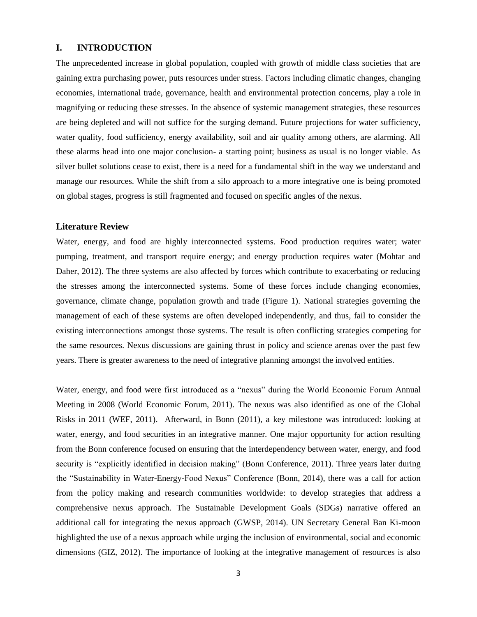### **I. INTRODUCTION**

The unprecedented increase in global population, coupled with growth of middle class societies that are gaining extra purchasing power, puts resources under stress. Factors including climatic changes, changing economies, international trade, governance, health and environmental protection concerns, play a role in magnifying or reducing these stresses. In the absence of systemic management strategies, these resources are being depleted and will not suffice for the surging demand. Future projections for water sufficiency, water quality, food sufficiency, energy availability, soil and air quality among others, are alarming. All these alarms head into one major conclusion- a starting point; business as usual is no longer viable. As silver bullet solutions cease to exist, there is a need for a fundamental shift in the way we understand and manage our resources. While the shift from a silo approach to a more integrative one is being promoted on global stages, progress is still fragmented and focused on specific angles of the nexus.

### **Literature Review**

Water, energy, and food are highly interconnected systems. Food production requires water; water pumping, treatment, and transport require energy; and energy production requires water (Mohtar and Daher, 2012). The three systems are also affected by forces which contribute to exacerbating or reducing the stresses among the interconnected systems. Some of these forces include changing economies, governance, climate change, population growth and trade (Figure 1). National strategies governing the management of each of these systems are often developed independently, and thus, fail to consider the existing interconnections amongst those systems. The result is often conflicting strategies competing for the same resources. Nexus discussions are gaining thrust in policy and science arenas over the past few years. There is greater awareness to the need of integrative planning amongst the involved entities.

Water, energy, and food were first introduced as a "nexus" during the World Economic Forum Annual Meeting in 2008 (World Economic Forum, 2011). The nexus was also identified as one of the Global Risks in 2011 (WEF, 2011). Afterward, in Bonn (2011), a key milestone was introduced: looking at water, energy, and food securities in an integrative manner. One major opportunity for action resulting from the Bonn conference focused on ensuring that the interdependency between water, energy, and food security is "explicitly identified in decision making" (Bonn Conference, 2011). Three years later during the "Sustainability in Water-Energy-Food Nexus" Conference (Bonn, 2014), there was a call for action from the policy making and research communities worldwide: to develop strategies that address a comprehensive nexus approach. The Sustainable Development Goals (SDGs) narrative offered an additional call for integrating the nexus approach (GWSP, 2014). UN Secretary General Ban Ki-moon highlighted the use of a nexus approach while urging the inclusion of environmental, social and economic dimensions (GIZ, 2012). The importance of looking at the integrative management of resources is also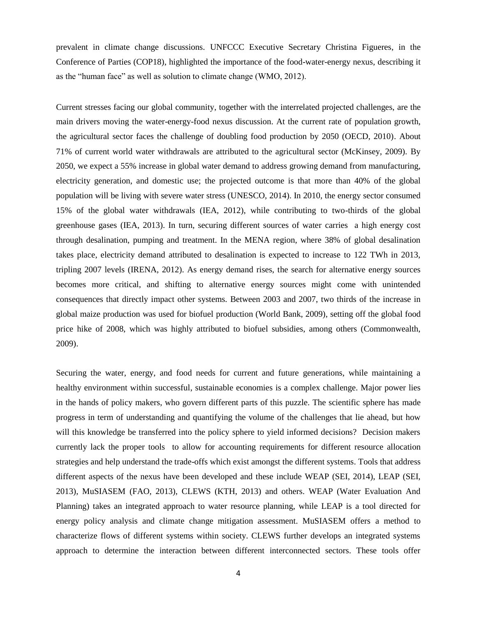prevalent in climate change discussions. UNFCCC Executive Secretary Christina Figueres, in the Conference of Parties (COP18), highlighted the importance of the food-water-energy nexus, describing it as the "human face" as well as solution to climate change (WMO, 2012).

Current stresses facing our global community, together with the interrelated projected challenges, are the main drivers moving the water-energy-food nexus discussion. At the current rate of population growth, the agricultural sector faces the challenge of doubling food production by 2050 (OECD, 2010). About 71% of current world water withdrawals are attributed to the agricultural sector (McKinsey, 2009). By 2050, we expect a 55% increase in global water demand to address growing demand from manufacturing, electricity generation, and domestic use; the projected outcome is that more than 40% of the global population will be living with severe water stress (UNESCO, 2014). In 2010, the energy sector consumed 15% of the global water withdrawals (IEA, 2012), while contributing to two-thirds of the global greenhouse gases (IEA, 2013). In turn, securing different sources of water carries a high energy cost through desalination, pumping and treatment. In the MENA region, where 38% of global desalination takes place, electricity demand attributed to desalination is expected to increase to 122 TWh in 2013, tripling 2007 levels (IRENA, 2012). As energy demand rises, the search for alternative energy sources becomes more critical, and shifting to alternative energy sources might come with unintended consequences that directly impact other systems. Between 2003 and 2007, two thirds of the increase in global maize production was used for biofuel production (World Bank, 2009), setting off the global food price hike of 2008, which was highly attributed to biofuel subsidies, among others (Commonwealth, 2009).

Securing the water, energy, and food needs for current and future generations, while maintaining a healthy environment within successful, sustainable economies is a complex challenge. Major power lies in the hands of policy makers, who govern different parts of this puzzle. The scientific sphere has made progress in term of understanding and quantifying the volume of the challenges that lie ahead, but how will this knowledge be transferred into the policy sphere to yield informed decisions? Decision makers currently lack the proper tools to allow for accounting requirements for different resource allocation strategies and help understand the trade-offs which exist amongst the different systems. Tools that address different aspects of the nexus have been developed and these include WEAP (SEI, 2014), LEAP (SEI, 2013), MuSIASEM (FAO, 2013), CLEWS (KTH, 2013) and others. WEAP (Water Evaluation And Planning) takes an integrated approach to water resource planning, while LEAP is a tool directed for energy policy analysis and climate change mitigation assessment. MuSIASEM offers a method to characterize flows of different systems within society. CLEWS further develops an integrated systems approach to determine the interaction between different interconnected sectors. These tools offer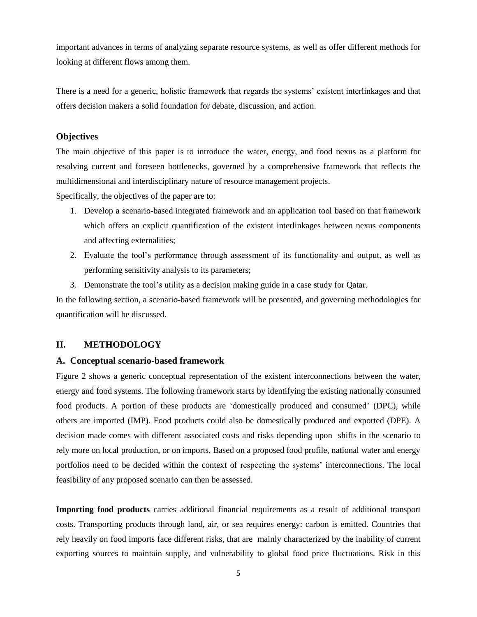important advances in terms of analyzing separate resource systems, as well as offer different methods for looking at different flows among them.

There is a need for a generic, holistic framework that regards the systems' existent interlinkages and that offers decision makers a solid foundation for debate, discussion, and action.

# **Objectives**

The main objective of this paper is to introduce the water, energy, and food nexus as a platform for resolving current and foreseen bottlenecks, governed by a comprehensive framework that reflects the multidimensional and interdisciplinary nature of resource management projects.

Specifically, the objectives of the paper are to:

- 1. Develop a scenario-based integrated framework and an application tool based on that framework which offers an explicit quantification of the existent interlinkages between nexus components and affecting externalities;
- 2. Evaluate the tool's performance through assessment of its functionality and output, as well as performing sensitivity analysis to its parameters;
- 3. Demonstrate the tool's utility as a decision making guide in a case study for Qatar.

In the following section, a scenario-based framework will be presented, and governing methodologies for quantification will be discussed.

# **II. METHODOLOGY**

### **A. Conceptual scenario-based framework**

Figure 2 shows a generic conceptual representation of the existent interconnections between the water, energy and food systems. The following framework starts by identifying the existing nationally consumed food products. A portion of these products are 'domestically produced and consumed' (DPC), while others are imported (IMP). Food products could also be domestically produced and exported (DPE). A decision made comes with different associated costs and risks depending upon shifts in the scenario to rely more on local production, or on imports. Based on a proposed food profile, national water and energy portfolios need to be decided within the context of respecting the systems' interconnections. The local feasibility of any proposed scenario can then be assessed.

**Importing food products** carries additional financial requirements as a result of additional transport costs. Transporting products through land, air, or sea requires energy: carbon is emitted. Countries that rely heavily on food imports face different risks, that are mainly characterized by the inability of current exporting sources to maintain supply, and vulnerability to global food price fluctuations. Risk in this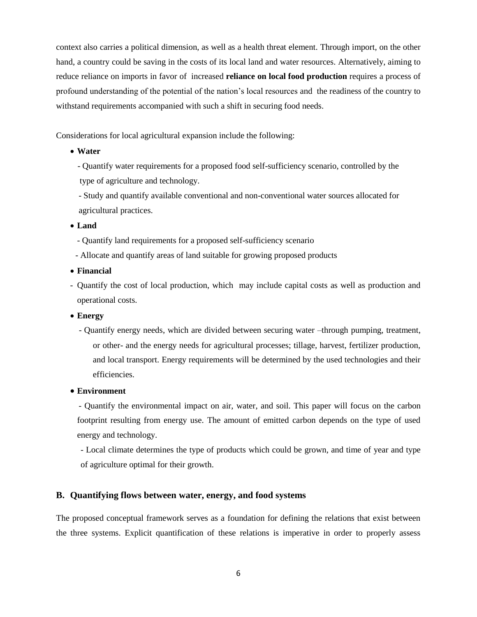context also carries a political dimension, as well as a health threat element. Through import, on the other hand, a country could be saving in the costs of its local land and water resources. Alternatively, aiming to reduce reliance on imports in favor of increased **reliance on local food production** requires a process of profound understanding of the potential of the nation's local resources and the readiness of the country to withstand requirements accompanied with such a shift in securing food needs.

Considerations for local agricultural expansion include the following:

- **Water**
	- Quantify water requirements for a proposed food self-sufficiency scenario, controlled by the type of agriculture and technology.
	- Study and quantify available conventional and non-conventional water sources allocated for agricultural practices.
- **Land**
	- Quantify land requirements for a proposed self-sufficiency scenario
- Allocate and quantify areas of land suitable for growing proposed products
- **Financial**
- Quantify the cost of local production, which may include capital costs as well as production and operational costs.
- **Energy**
	- Quantify energy needs, which are divided between securing water –through pumping, treatment, or other- and the energy needs for agricultural processes; tillage, harvest, fertilizer production, and local transport. Energy requirements will be determined by the used technologies and their efficiencies.

### **Environment**

 - Quantify the environmental impact on air, water, and soil. This paper will focus on the carbon footprint resulting from energy use. The amount of emitted carbon depends on the type of used energy and technology.

- Local climate determines the type of products which could be grown, and time of year and type of agriculture optimal for their growth.

# **B. Quantifying flows between water, energy, and food systems**

The proposed conceptual framework serves as a foundation for defining the relations that exist between the three systems. Explicit quantification of these relations is imperative in order to properly assess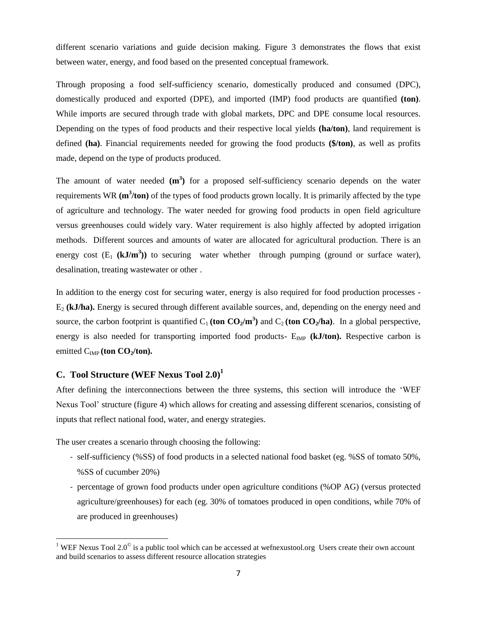different scenario variations and guide decision making. Figure 3 demonstrates the flows that exist between water, energy, and food based on the presented conceptual framework.

Through proposing a food self-sufficiency scenario, domestically produced and consumed (DPC), domestically produced and exported (DPE), and imported (IMP) food products are quantified **(ton)**. While imports are secured through trade with global markets, DPC and DPE consume local resources. Depending on the types of food products and their respective local yields **(ha/ton)**, land requirement is defined **(ha)**. Financial requirements needed for growing the food products **(\$/ton)**, as well as profits made, depend on the type of products produced.

The amount of water needed  $(m^3)$  for a proposed self-sufficiency scenario depends on the water requirements WR ( $m^3$ /ton) of the types of food products grown locally. It is primarily affected by the type of agriculture and technology. The water needed for growing food products in open field agriculture versus greenhouses could widely vary. Water requirement is also highly affected by adopted irrigation methods. Different sources and amounts of water are allocated for agricultural production. There is an energy cost  $(E_1 \text{ (kJ/m}^3))$  to securing water whether through pumping (ground or surface water), desalination, treating wastewater or other .

In addition to the energy cost for securing water, energy is also required for food production processes - E<sup>2</sup> **(kJ/ha).** Energy is secured through different available sources, and, depending on the energy need and source, the carbon footprint is quantified  $C_1$  (ton  $CO_2/m^3$ ) and  $C_2$  (ton  $CO_2/ha$ ). In a global perspective, energy is also needed for transporting imported food products-  $E_{\text{IMP}}$  ( $kJ/ton$ ). Respective carbon is emitted C<sub>IMP</sub> (ton CO<sub>2</sub>/ton).

# **C. Tool Structure (WEF Nexus Tool 2.0) 1**

 $\overline{\phantom{a}}$ 

After defining the interconnections between the three systems, this section will introduce the 'WEF Nexus Tool' structure (figure 4) which allows for creating and assessing different scenarios, consisting of inputs that reflect national food, water, and energy strategies.

The user creates a scenario through choosing the following:

- self-sufficiency (%SS) of food products in a selected national food basket (eg. %SS of tomato 50%, %SS of cucumber 20%)
- percentage of grown food products under open agriculture conditions (%OP AG) (versus protected agriculture/greenhouses) for each (eg. 30% of tomatoes produced in open conditions, while 70% of are produced in greenhouses)

<sup>&</sup>lt;sup>1</sup> WEF Nexus Tool 2.0<sup> $\degree$ </sup> is a public tool which can be accessed at wefnexustool.org Users create their own account and build scenarios to assess different resource allocation strategies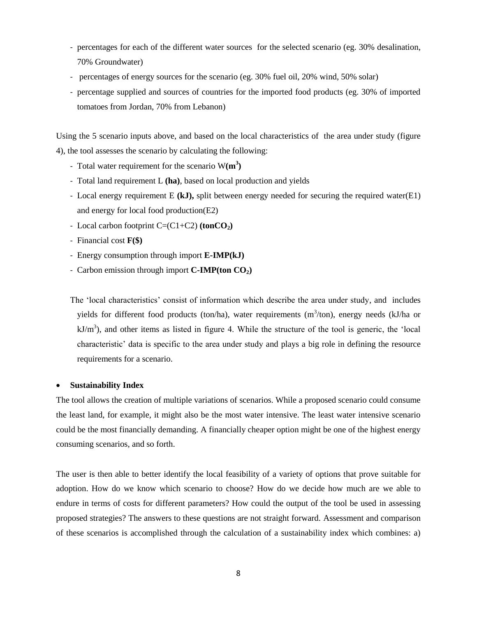- percentages for each of the different water sources for the selected scenario (eg. 30% desalination, 70% Groundwater)
- percentages of energy sources for the scenario (eg. 30% fuel oil, 20% wind, 50% solar)
- percentage supplied and sources of countries for the imported food products (eg. 30% of imported tomatoes from Jordan, 70% from Lebanon)

Using the 5 scenario inputs above, and based on the local characteristics of the area under study (figure 4), the tool assesses the scenario by calculating the following:

- Total water requirement for the scenario W**(m<sup>3</sup> )**
- Total land requirement L **(ha)**, based on local production and yields
- Local energy requirement E **(kJ),** split between energy needed for securing the required water(E1) and energy for local food production(E2)
- Local carbon footprint  $C=(C1+C2)$  (ton $CO<sub>2</sub>$ )
- Financial cost **F(\$)**
- Energy consumption through import **E-IMP(kJ)**
- Carbon emission through import **C-IMP(ton CO2)**

The 'local characteristics' consist of information which describe the area under study, and includes yields for different food products (ton/ha), water requirements  $(m^3/ton)$ , energy needs (kJ/ha or  $kJ/m<sup>3</sup>$ ), and other items as listed in figure 4. While the structure of the tool is generic, the 'local characteristic' data is specific to the area under study and plays a big role in defining the resource requirements for a scenario.

# **Sustainability Index**

The tool allows the creation of multiple variations of scenarios. While a proposed scenario could consume the least land, for example, it might also be the most water intensive. The least water intensive scenario could be the most financially demanding. A financially cheaper option might be one of the highest energy consuming scenarios, and so forth.

The user is then able to better identify the local feasibility of a variety of options that prove suitable for adoption. How do we know which scenario to choose? How do we decide how much are we able to endure in terms of costs for different parameters? How could the output of the tool be used in assessing proposed strategies? The answers to these questions are not straight forward. Assessment and comparison of these scenarios is accomplished through the calculation of a sustainability index which combines: a)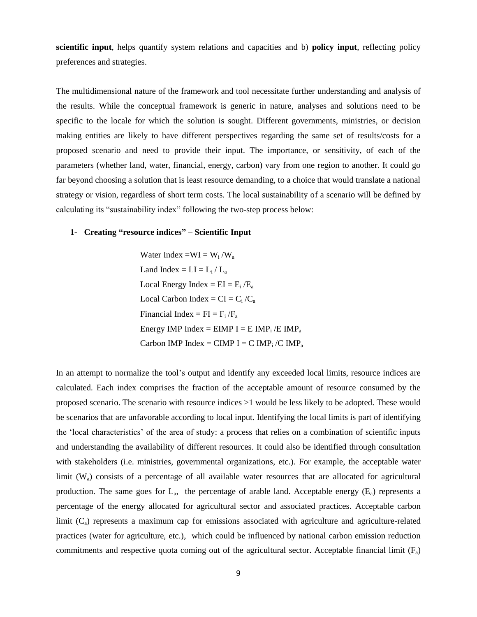**scientific input**, helps quantify system relations and capacities and b) **policy input**, reflecting policy preferences and strategies.

The multidimensional nature of the framework and tool necessitate further understanding and analysis of the results. While the conceptual framework is generic in nature, analyses and solutions need to be specific to the locale for which the solution is sought. Different governments, ministries, or decision making entities are likely to have different perspectives regarding the same set of results/costs for a proposed scenario and need to provide their input. The importance, or sensitivity, of each of the parameters (whether land, water, financial, energy, carbon) vary from one region to another. It could go far beyond choosing a solution that is least resource demanding, to a choice that would translate a national strategy or vision, regardless of short term costs. The local sustainability of a scenario will be defined by calculating its "sustainability index" following the two-step process below:

## **1- Creating "resource indices" – Scientific Input**

Water Index = $WI = W_i / W_a$ Land Index  $= LI = L_i / L_a$ Local Energy Index =  $EI = E_i / E_a$ Local Carbon Index =  $CI = C_i / C_a$ Financial Index =  $FI = F_i / F_a$ Energy IMP Index =  $EIMP I = EIMP_i / EIMP_a$ Carbon IMP Index = CIMP I = C  $IMP_i / CIMP_a$ 

In an attempt to normalize the tool's output and identify any exceeded local limits, resource indices are calculated. Each index comprises the fraction of the acceptable amount of resource consumed by the proposed scenario. The scenario with resource indices >1 would be less likely to be adopted. These would be scenarios that are unfavorable according to local input. Identifying the local limits is part of identifying the 'local characteristics' of the area of study: a process that relies on a combination of scientific inputs and understanding the availability of different resources. It could also be identified through consultation with stakeholders (i.e. ministries, governmental organizations, etc.). For example, the acceptable water limit  $(W_a)$  consists of a percentage of all available water resources that are allocated for agricultural production. The same goes for  $L_a$ , the percentage of arable land. Acceptable energy  $(E_a)$  represents a percentage of the energy allocated for agricultural sector and associated practices. Acceptable carbon limit  $(C_a)$  represents a maximum cap for emissions associated with agriculture and agriculture-related practices (water for agriculture, etc.), which could be influenced by national carbon emission reduction commitments and respective quota coming out of the agricultural sector. Acceptable financial limit  $(F_a)$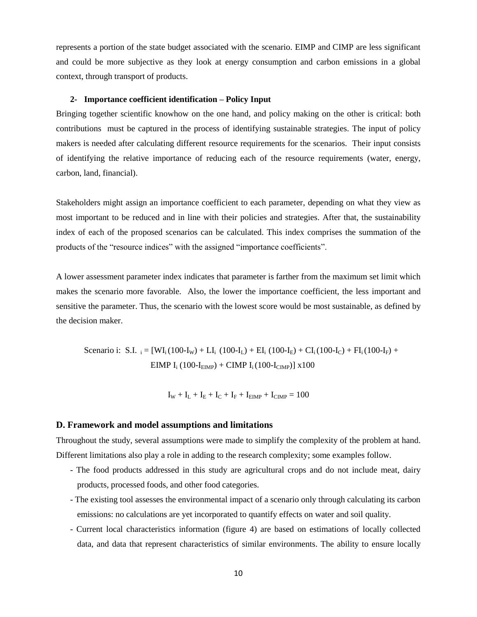represents a portion of the state budget associated with the scenario. EIMP and CIMP are less significant and could be more subjective as they look at energy consumption and carbon emissions in a global context, through transport of products.

#### **2- Importance coefficient identification – Policy Input**

Bringing together scientific knowhow on the one hand, and policy making on the other is critical: both contributions must be captured in the process of identifying sustainable strategies. The input of policy makers is needed after calculating different resource requirements for the scenarios. Their input consists of identifying the relative importance of reducing each of the resource requirements (water, energy, carbon, land, financial).

Stakeholders might assign an importance coefficient to each parameter, depending on what they view as most important to be reduced and in line with their policies and strategies. After that, the sustainability index of each of the proposed scenarios can be calculated. This index comprises the summation of the products of the "resource indices" with the assigned "importance coefficients".

A lower assessment parameter index indicates that parameter is farther from the maximum set limit which makes the scenario more favorable. Also, the lower the importance coefficient, the less important and sensitive the parameter. Thus, the scenario with the lowest score would be most sustainable, as defined by the decision maker.

Scenario i: S.I.  $_i = [WI_i(100-I_W) + LI_i(100-I_L) + EI_i(100-I_E) + CI_i(100-I_C) + FI_i(100-I_F) +$ EIMP  $I_i (100-I_{EIMP}) + CIMP I_i (100-I_{CIMP}) x 100$ 

 $I_W + I_L + I_E + I_C + I_F + I_{EMP} + I_{CIMP} = 100$ 

#### **D. Framework and model assumptions and limitations**

Throughout the study, several assumptions were made to simplify the complexity of the problem at hand. Different limitations also play a role in adding to the research complexity; some examples follow.

- The food products addressed in this study are agricultural crops and do not include meat, dairy products, processed foods, and other food categories.
- The existing tool assesses the environmental impact of a scenario only through calculating its carbon emissions: no calculations are yet incorporated to quantify effects on water and soil quality.
- Current local characteristics information (figure 4) are based on estimations of locally collected data, and data that represent characteristics of similar environments. The ability to ensure locally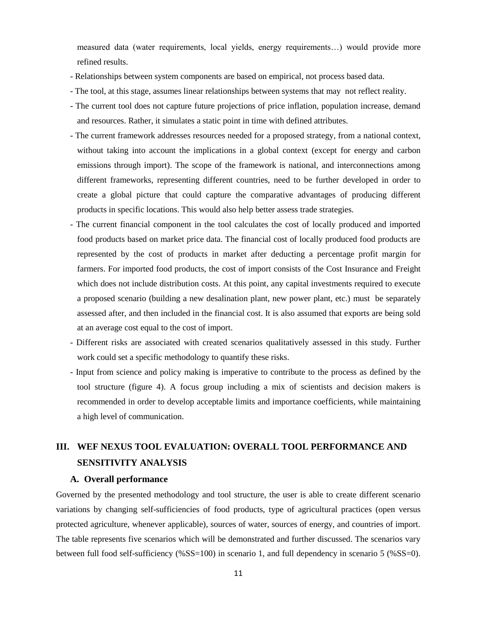measured data (water requirements, local yields, energy requirements…) would provide more refined results.

- Relationships between system components are based on empirical, not process based data.
- The tool, at this stage, assumes linear relationships between systems that may not reflect reality.
- The current tool does not capture future projections of price inflation, population increase, demand and resources. Rather, it simulates a static point in time with defined attributes.
- The current framework addresses resources needed for a proposed strategy, from a national context, without taking into account the implications in a global context (except for energy and carbon emissions through import). The scope of the framework is national, and interconnections among different frameworks, representing different countries, need to be further developed in order to create a global picture that could capture the comparative advantages of producing different products in specific locations. This would also help better assess trade strategies.
- The current financial component in the tool calculates the cost of locally produced and imported food products based on market price data. The financial cost of locally produced food products are represented by the cost of products in market after deducting a percentage profit margin for farmers. For imported food products, the cost of import consists of the Cost Insurance and Freight which does not include distribution costs. At this point, any capital investments required to execute a proposed scenario (building a new desalination plant, new power plant, etc.) must be separately assessed after, and then included in the financial cost. It is also assumed that exports are being sold at an average cost equal to the cost of import.
- Different risks are associated with created scenarios qualitatively assessed in this study. Further work could set a specific methodology to quantify these risks.
- Input from science and policy making is imperative to contribute to the process as defined by the tool structure (figure 4). A focus group including a mix of scientists and decision makers is recommended in order to develop acceptable limits and importance coefficients, while maintaining a high level of communication.

# **III. WEF NEXUS TOOL EVALUATION: OVERALL TOOL PERFORMANCE AND SENSITIVITY ANALYSIS**

# **A. Overall performance**

Governed by the presented methodology and tool structure, the user is able to create different scenario variations by changing self-sufficiencies of food products, type of agricultural practices (open versus protected agriculture, whenever applicable), sources of water, sources of energy, and countries of import. The table represents five scenarios which will be demonstrated and further discussed. The scenarios vary between full food self-sufficiency (%SS=100) in scenario 1, and full dependency in scenario 5 (%SS=0).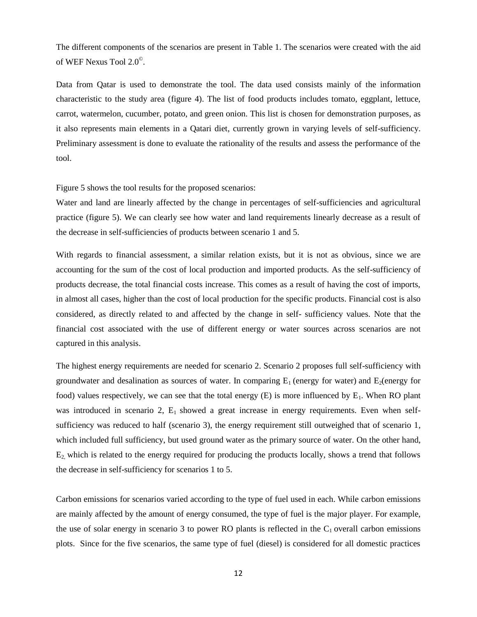The different components of the scenarios are present in Table 1. The scenarios were created with the aid of WEF Nexus Tool 2.0© .

Data from Qatar is used to demonstrate the tool. The data used consists mainly of the information characteristic to the study area (figure 4). The list of food products includes tomato, eggplant, lettuce, carrot, watermelon, cucumber, potato, and green onion. This list is chosen for demonstration purposes, as it also represents main elements in a Qatari diet, currently grown in varying levels of self-sufficiency. Preliminary assessment is done to evaluate the rationality of the results and assess the performance of the tool.

Figure 5 shows the tool results for the proposed scenarios:

Water and land are linearly affected by the change in percentages of self-sufficiencies and agricultural practice (figure 5). We can clearly see how water and land requirements linearly decrease as a result of the decrease in self-sufficiencies of products between scenario 1 and 5.

With regards to financial assessment, a similar relation exists, but it is not as obvious, since we are accounting for the sum of the cost of local production and imported products. As the self-sufficiency of products decrease, the total financial costs increase. This comes as a result of having the cost of imports, in almost all cases, higher than the cost of local production for the specific products. Financial cost is also considered, as directly related to and affected by the change in self- sufficiency values. Note that the financial cost associated with the use of different energy or water sources across scenarios are not captured in this analysis.

The highest energy requirements are needed for scenario 2. Scenario 2 proposes full self-sufficiency with groundwater and desalination as sources of water. In comparing  $E_1$  (energy for water) and  $E_2$ (energy for food) values respectively, we can see that the total energy  $(E)$  is more influenced by  $E_1$ . When RO plant was introduced in scenario 2,  $E_1$  showed a great increase in energy requirements. Even when selfsufficiency was reduced to half (scenario 3), the energy requirement still outweighed that of scenario 1, which included full sufficiency, but used ground water as the primary source of water. On the other hand,  $E<sub>2</sub>$  which is related to the energy required for producing the products locally, shows a trend that follows the decrease in self-sufficiency for scenarios 1 to 5.

Carbon emissions for scenarios varied according to the type of fuel used in each. While carbon emissions are mainly affected by the amount of energy consumed, the type of fuel is the major player. For example, the use of solar energy in scenario 3 to power RO plants is reflected in the  $C_1$  overall carbon emissions plots. Since for the five scenarios, the same type of fuel (diesel) is considered for all domestic practices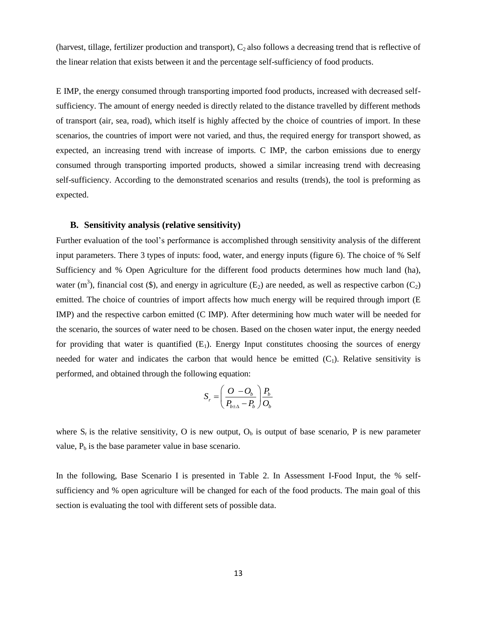(harvest, tillage, fertilizer production and transport),  $C_2$  also follows a decreasing trend that is reflective of the linear relation that exists between it and the percentage self-sufficiency of food products.

E IMP, the energy consumed through transporting imported food products, increased with decreased selfsufficiency. The amount of energy needed is directly related to the distance travelled by different methods of transport (air, sea, road), which itself is highly affected by the choice of countries of import. In these scenarios, the countries of import were not varied, and thus, the required energy for transport showed, as expected, an increasing trend with increase of imports. C IMP, the carbon emissions due to energy consumed through transporting imported products, showed a similar increasing trend with decreasing self-sufficiency. According to the demonstrated scenarios and results (trends), the tool is preforming as expected.

#### **B. Sensitivity analysis (relative sensitivity)**

Further evaluation of the tool's performance is accomplished through sensitivity analysis of the different input parameters. There 3 types of inputs: food, water, and energy inputs (figure 6). The choice of % Self Sufficiency and % Open Agriculture for the different food products determines how much land (ha), water (m<sup>3</sup>), financial cost (\$), and energy in agriculture ( $E_2$ ) are needed, as well as respective carbon ( $C_2$ ) emitted. The choice of countries of import affects how much energy will be required through import (E IMP) and the respective carbon emitted (C IMP). After determining how much water will be needed for the scenario, the sources of water need to be chosen. Based on the chosen water input, the energy needed for providing that water is quantified  $(E_1)$ . Energy Input constitutes choosing the sources of energy needed for water and indicates the carbon that would hence be emitted  $(C_1)$ . Relative sensitivity is performed, and obtained through the following equation:

$$
S_r = \left(\frac{O - O_b}{P_{b \pm \Delta} - P_b}\right) \frac{P_b}{O_b}
$$

where  $S_r$  is the relative sensitivity, O is new output,  $O_b$  is output of base scenario, P is new parameter value,  $P_b$  is the base parameter value in base scenario.

In the following, Base Scenario I is presented in Table 2. In Assessment I-Food Input, the % selfsufficiency and % open agriculture will be changed for each of the food products. The main goal of this section is evaluating the tool with different sets of possible data.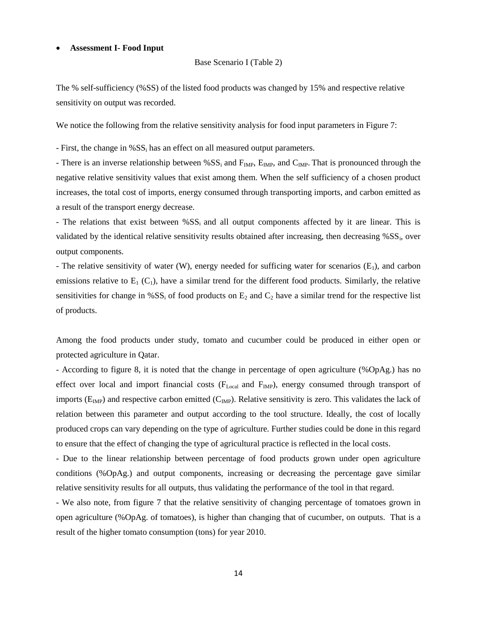#### **Assessment I- Food Input**

```
Base Scenario I (Table 2)
```
The % self-sufficiency (%SS) of the listed food products was changed by 15% and respective relative sensitivity on output was recorded.

We notice the following from the relative sensitivity analysis for food input parameters in Figure 7:

- First, the change in %SS<sub>i</sub> has an effect on all measured output parameters.

- There is an inverse relationship between %SS<sub>i</sub> and  $F_{IMP}$ ,  $E_{IMP}$ , and  $C_{IMP}$ . That is pronounced through the negative relative sensitivity values that exist among them. When the self sufficiency of a chosen product increases, the total cost of imports, energy consumed through transporting imports, and carbon emitted as a result of the transport energy decrease.

- The relations that exist between  $\%SS_i$  and all output components affected by it are linear. This is validated by the identical relative sensitivity results obtained after increasing, then decreasing %SS<sub>i</sub>, over output components.

- The relative sensitivity of water (W), energy needed for sufficing water for scenarios  $(E_1)$ , and carbon emissions relative to  $E_1(C_1)$ , have a similar trend for the different food products. Similarly, the relative sensitivities for change in % $SS_i$  of food products on  $E_2$  and  $C_2$  have a similar trend for the respective list of products.

Among the food products under study, tomato and cucumber could be produced in either open or protected agriculture in Qatar.

- According to figure 8, it is noted that the change in percentage of open agriculture (%OpAg.) has no effect over local and import financial costs (F<sub>Local</sub> and F<sub>IMP</sub>), energy consumed through transport of imports ( $E_{\text{IMP}}$ ) and respective carbon emitted ( $C_{\text{IMP}}$ ). Relative sensitivity is zero. This validates the lack of relation between this parameter and output according to the tool structure. Ideally, the cost of locally produced crops can vary depending on the type of agriculture. Further studies could be done in this regard to ensure that the effect of changing the type of agricultural practice is reflected in the local costs.

- Due to the linear relationship between percentage of food products grown under open agriculture conditions (%OpAg.) and output components, increasing or decreasing the percentage gave similar relative sensitivity results for all outputs, thus validating the performance of the tool in that regard.

- We also note, from figure 7 that the relative sensitivity of changing percentage of tomatoes grown in open agriculture (%OpAg. of tomatoes), is higher than changing that of cucumber, on outputs. That is a result of the higher tomato consumption (tons) for year 2010.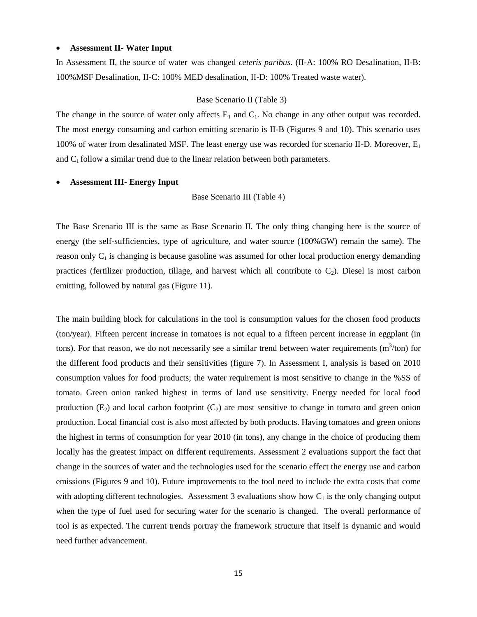#### **Assessment II- Water Input**

In Assessment II, the source of water was changed *ceteris paribus*. (II-A: 100% RO Desalination, II-B: 100%MSF Desalination, II-C: 100% MED desalination, II-D: 100% Treated waste water).

#### Base Scenario II (Table 3)

The change in the source of water only affects  $E_1$  and  $C_1$ . No change in any other output was recorded. The most energy consuming and carbon emitting scenario is II-B (Figures 9 and 10). This scenario uses 100% of water from desalinated MSF. The least energy use was recorded for scenario II-D. Moreover,  $E_1$ and  $C_1$  follow a similar trend due to the linear relation between both parameters.

#### **Assessment III- Energy Input**

#### Base Scenario III (Table 4)

The Base Scenario III is the same as Base Scenario II. The only thing changing here is the source of energy (the self-sufficiencies, type of agriculture, and water source (100%GW) remain the same). The reason only  $C_1$  is changing is because gasoline was assumed for other local production energy demanding practices (fertilizer production, tillage, and harvest which all contribute to  $C_2$ ). Diesel is most carbon emitting, followed by natural gas (Figure 11).

The main building block for calculations in the tool is consumption values for the chosen food products (ton/year). Fifteen percent increase in tomatoes is not equal to a fifteen percent increase in eggplant (in tons). For that reason, we do not necessarily see a similar trend between water requirements  $(m<sup>3</sup>/ton)$  for the different food products and their sensitivities (figure 7). In Assessment I, analysis is based on 2010 consumption values for food products; the water requirement is most sensitive to change in the %SS of tomato. Green onion ranked highest in terms of land use sensitivity. Energy needed for local food production  $(E_2)$  and local carbon footprint  $(C_2)$  are most sensitive to change in tomato and green onion production. Local financial cost is also most affected by both products. Having tomatoes and green onions the highest in terms of consumption for year 2010 (in tons), any change in the choice of producing them locally has the greatest impact on different requirements. Assessment 2 evaluations support the fact that change in the sources of water and the technologies used for the scenario effect the energy use and carbon emissions (Figures 9 and 10). Future improvements to the tool need to include the extra costs that come with adopting different technologies. Assessment 3 evaluations show how  $C_1$  is the only changing output when the type of fuel used for securing water for the scenario is changed. The overall performance of tool is as expected. The current trends portray the framework structure that itself is dynamic and would need further advancement.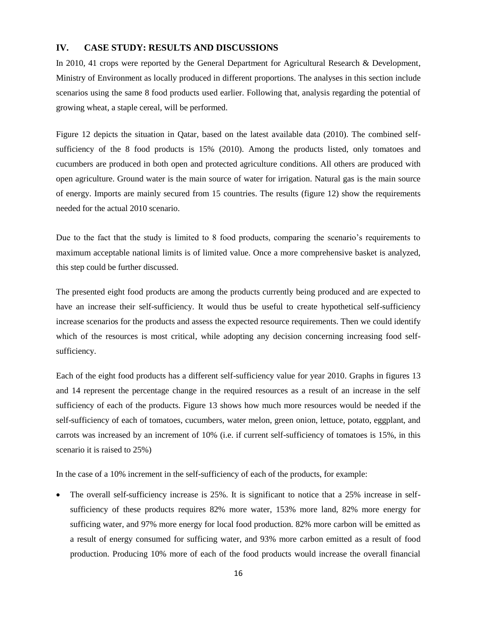## **IV. CASE STUDY: RESULTS AND DISCUSSIONS**

In 2010, 41 crops were reported by the General Department for Agricultural Research & Development, Ministry of Environment as locally produced in different proportions. The analyses in this section include scenarios using the same 8 food products used earlier. Following that, analysis regarding the potential of growing wheat, a staple cereal, will be performed.

Figure 12 depicts the situation in Qatar, based on the latest available data (2010). The combined selfsufficiency of the 8 food products is 15% (2010). Among the products listed, only tomatoes and cucumbers are produced in both open and protected agriculture conditions. All others are produced with open agriculture. Ground water is the main source of water for irrigation. Natural gas is the main source of energy. Imports are mainly secured from 15 countries. The results (figure 12) show the requirements needed for the actual 2010 scenario.

Due to the fact that the study is limited to 8 food products, comparing the scenario's requirements to maximum acceptable national limits is of limited value. Once a more comprehensive basket is analyzed, this step could be further discussed.

The presented eight food products are among the products currently being produced and are expected to have an increase their self-sufficiency. It would thus be useful to create hypothetical self-sufficiency increase scenarios for the products and assess the expected resource requirements. Then we could identify which of the resources is most critical, while adopting any decision concerning increasing food selfsufficiency.

Each of the eight food products has a different self-sufficiency value for year 2010. Graphs in figures 13 and 14 represent the percentage change in the required resources as a result of an increase in the self sufficiency of each of the products. Figure 13 shows how much more resources would be needed if the self-sufficiency of each of tomatoes, cucumbers, water melon, green onion, lettuce, potato, eggplant, and carrots was increased by an increment of 10% (i.e. if current self-sufficiency of tomatoes is 15%, in this scenario it is raised to 25%)

In the case of a 10% increment in the self-sufficiency of each of the products, for example:

 The overall self-sufficiency increase is 25%. It is significant to notice that a 25% increase in selfsufficiency of these products requires 82% more water, 153% more land, 82% more energy for sufficing water, and 97% more energy for local food production. 82% more carbon will be emitted as a result of energy consumed for sufficing water, and 93% more carbon emitted as a result of food production. Producing 10% more of each of the food products would increase the overall financial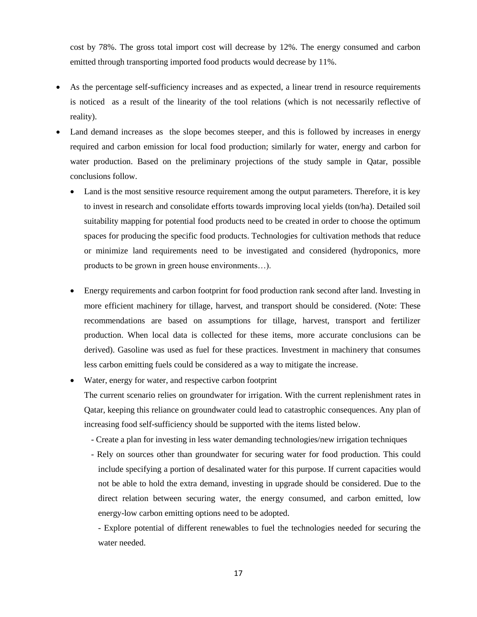cost by 78%. The gross total import cost will decrease by 12%. The energy consumed and carbon emitted through transporting imported food products would decrease by 11%.

- As the percentage self-sufficiency increases and as expected, a linear trend in resource requirements is noticed as a result of the linearity of the tool relations (which is not necessarily reflective of reality).
- Land demand increases as the slope becomes steeper, and this is followed by increases in energy required and carbon emission for local food production; similarly for water, energy and carbon for water production. Based on the preliminary projections of the study sample in Qatar, possible conclusions follow.
	- Land is the most sensitive resource requirement among the output parameters. Therefore, it is key to invest in research and consolidate efforts towards improving local yields (ton/ha). Detailed soil suitability mapping for potential food products need to be created in order to choose the optimum spaces for producing the specific food products. Technologies for cultivation methods that reduce or minimize land requirements need to be investigated and considered (hydroponics, more products to be grown in green house environments…).
	- Energy requirements and carbon footprint for food production rank second after land. Investing in more efficient machinery for tillage, harvest, and transport should be considered. (Note: These recommendations are based on assumptions for tillage, harvest, transport and fertilizer production. When local data is collected for these items, more accurate conclusions can be derived). Gasoline was used as fuel for these practices. Investment in machinery that consumes less carbon emitting fuels could be considered as a way to mitigate the increase.
	- Water, energy for water, and respective carbon footprint

The current scenario relies on groundwater for irrigation. With the current replenishment rates in Qatar, keeping this reliance on groundwater could lead to catastrophic consequences. Any plan of increasing food self-sufficiency should be supported with the items listed below.

- Create a plan for investing in less water demanding technologies/new irrigation techniques
- Rely on sources other than groundwater for securing water for food production. This could include specifying a portion of desalinated water for this purpose. If current capacities would not be able to hold the extra demand, investing in upgrade should be considered. Due to the direct relation between securing water, the energy consumed, and carbon emitted, low energy-low carbon emitting options need to be adopted.

- Explore potential of different renewables to fuel the technologies needed for securing the water needed.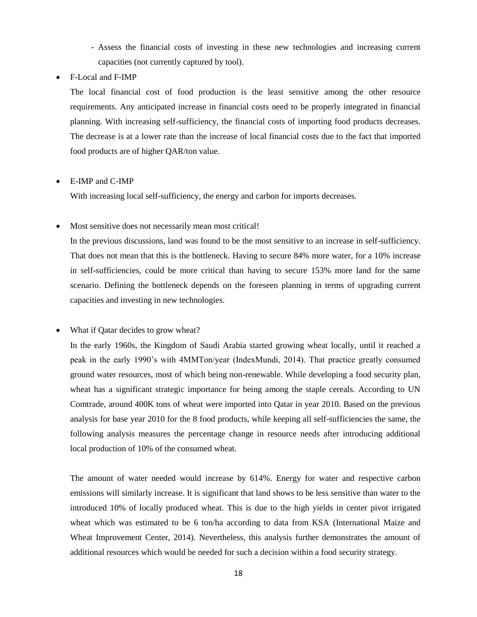- Assess the financial costs of investing in these new technologies and increasing current capacities (not currently captured by tool).

F-Local and F-IMP

The local financial cost of food production is the least sensitive among the other resource requirements. Any anticipated increase in financial costs need to be properly integrated in financial planning. With increasing self-sufficiency, the financial costs of importing food products decreases. The decrease is at a lower rate than the increase of local financial costs due to the fact that imported food products are of higher QAR/ton value.

# E-IMP and C-IMP

With increasing local self-sufficiency, the energy and carbon for imports decreases.

# Most sensitive does not necessarily mean most critical!

In the previous discussions, land was found to be the most sensitive to an increase in self-sufficiency. That does not mean that this is the bottleneck. Having to secure 84% more water, for a 10% increase in self-sufficiencies, could be more critical than having to secure 153% more land for the same scenario. Defining the bottleneck depends on the foreseen planning in terms of upgrading current capacities and investing in new technologies.

# What if Qatar decides to grow wheat?

In the early 1960s, the Kingdom of Saudi Arabia started growing wheat locally, until it reached a peak in the early 1990's with 4MMTon/year (IndexMundi, 2014). That practice greatly consumed ground water resources, most of which being non-renewable. While developing a food security plan, wheat has a significant strategic importance for being among the staple cereals. According to UN Comtrade, around 400K tons of wheat were imported into Qatar in year 2010. Based on the previous analysis for base year 2010 for the 8 food products, while keeping all self-sufficiencies the same, the following analysis measures the percentage change in resource needs after introducing additional local production of 10% of the consumed wheat.

The amount of water needed would increase by 614%. Energy for water and respective carbon emissions will similarly increase. It is significant that land shows to be less sensitive than water to the introduced 10% of locally produced wheat. This is due to the high yields in center pivot irrigated wheat which was estimated to be 6 ton/ha according to data from KSA (International Maize and Wheat Improvement Center, 2014). Nevertheless, this analysis further demonstrates the amount of additional resources which would be needed for such a decision within a food security strategy.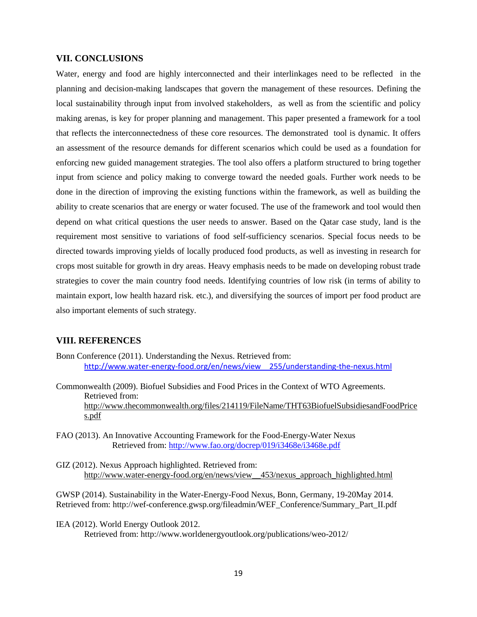### **VII. CONCLUSIONS**

Water, energy and food are highly interconnected and their interlinkages need to be reflected in the planning and decision-making landscapes that govern the management of these resources. Defining the local sustainability through input from involved stakeholders, as well as from the scientific and policy making arenas, is key for proper planning and management. This paper presented a framework for a tool that reflects the interconnectedness of these core resources. The demonstrated tool is dynamic. It offers an assessment of the resource demands for different scenarios which could be used as a foundation for enforcing new guided management strategies. The tool also offers a platform structured to bring together input from science and policy making to converge toward the needed goals. Further work needs to be done in the direction of improving the existing functions within the framework, as well as building the ability to create scenarios that are energy or water focused. The use of the framework and tool would then depend on what critical questions the user needs to answer. Based on the Qatar case study, land is the requirement most sensitive to variations of food self-sufficiency scenarios. Special focus needs to be directed towards improving yields of locally produced food products, as well as investing in research for crops most suitable for growth in dry areas. Heavy emphasis needs to be made on developing robust trade strategies to cover the main country food needs. Identifying countries of low risk (in terms of ability to maintain export, low health hazard risk. etc.), and diversifying the sources of import per food product are also important elements of such strategy.

# **VIII. REFERENCES**

- Bonn Conference (2011). Understanding the Nexus. Retrieved from: [http://www.water-energy-food.org/en/news/view\\_\\_255/understanding-the-nexus.html](http://www.water-energy-food.org/en/news/view__255/understanding-the-nexus.html)
- Commonwealth (2009). Biofuel Subsidies and Food Prices in the Context of WTO Agreements. Retrieved from: [http://www.thecommonwealth.org/files/214119/FileName/THT63BiofuelSubsidiesandFoodPrice](http://www.thecommonwealth.org/files/214119/FileName/THT63BiofuelSubsidiesandFoodPrices.pdf) [s.pdf](http://www.thecommonwealth.org/files/214119/FileName/THT63BiofuelSubsidiesandFoodPrices.pdf)
- FAO (2013). An Innovative Accounting Framework for the Food-Energy-Water Nexus Retrieved from:<http://www.fao.org/docrep/019/i3468e/i3468e.pdf>
- GIZ (2012). Nexus Approach highlighted. Retrieved from: [http://www.water-energy-food.org/en/news/view\\_\\_453/nexus\\_approach\\_highlighted.html](http://www.water-energy-food.org/en/news/view__453/nexus_approach_highlighted.html)

GWSP (2014). Sustainability in the Water-Energy-Food Nexus, Bonn, Germany, 19-20May 2014. Retrieved from: http://wef-conference.gwsp.org/fileadmin/WEF\_Conference/Summary\_Part\_II.pdf

IEA (2012). World Energy Outlook 2012. Retrieved from: http://www.worldenergyoutlook.org/publications/weo-2012/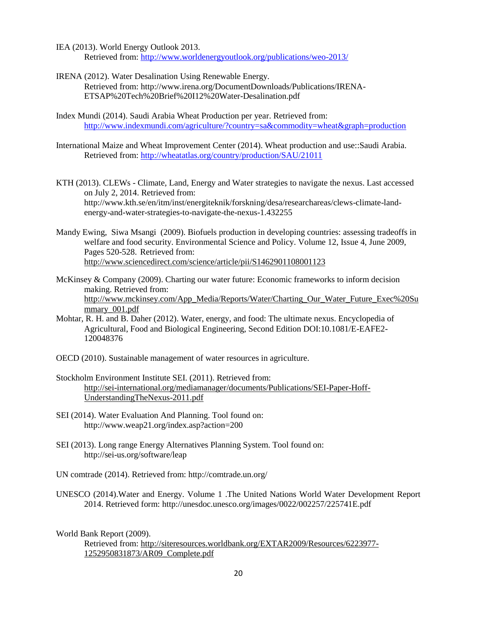IEA (2013). World Energy Outlook 2013. Retrieved from:<http://www.worldenergyoutlook.org/publications/weo-2013/>

- IRENA (2012). Water Desalination Using Renewable Energy. Retrieved from:<http://www.irena.org/DocumentDownloads/Publications/IRENA->ETSAP%20Tech%20Brief%20I12%20Water-Desalination.pdf
- Index Mundi (2014). Saudi Arabia Wheat Production per year. Retrieved from: <http://www.indexmundi.com/agriculture/?country=sa&commodity=wheat&graph=production>
- International Maize and Wheat Improvement Center (2014). Wheat production and use::Saudi Arabia. Retrieved from:<http://wheatatlas.org/country/production/SAU/21011>
- KTH (2013). CLEWs Climate, Land, Energy and Water strategies to navigate the nexus. Last accessed on July 2, 2014. Retrieved from: [http://www.kth.se/en/itm/inst/energiteknik/forskning/desa/researchareas/clews-climate-land](http://www.kth.se/en/itm/inst/energiteknik/forskning/desa/researchareas/clews-climate-land-)energy-and-water-strategies-to-navigate-the-nexus-1.432255
- Mandy Ewing, Siwa Msangi (2009). Biofuels production in developing countries: assessing tradeoffs in welfare and food security. Environmental Science and Policy. Volume 12, Issue 4, June 2009, Pages 520-528. Retrieved from: <http://www.sciencedirect.com/science/article/pii/S1462901108001123>
- McKinsey & Company (2009). Charting our water future: Economic frameworks to inform decision making. Retrieved from: [http://www.mckinsey.com/App\\_Media/Reports/Water/Charting\\_Our\\_Water\\_Future\\_Exec%20Su](http://www.mckinsey.com/App_Media/Reports/Water/Charting_Our_Water_Future_Exec%20Summary_001.pdf) [mmary\\_001.pdf](http://www.mckinsey.com/App_Media/Reports/Water/Charting_Our_Water_Future_Exec%20Summary_001.pdf)
- Mohtar, R. H. and B. Daher (2012). Water, energy, and food: The ultimate nexus. Encyclopedia of Agricultural, Food and Biological Engineering, Second Edition DOI:10.1081/E-EAFE2- 120048376
- OECD (2010). Sustainable management of water resources in agriculture.
- Stockholm Environment Institute SEI. (2011). Retrieved from: [http://sei-international.org/mediamanager/documents/Publications/SEI-Paper-Hoff-](http://sei-international.org/mediamanager/documents/Publications/SEI-Paper-Hoff-%20UnderstandingTheNexus-2011.pdf)[UnderstandingTheNexus-2011.pdf](http://sei-international.org/mediamanager/documents/Publications/SEI-Paper-Hoff-%20UnderstandingTheNexus-2011.pdf)
- SEI (2014). Water Evaluation And Planning. Tool found on: http://www.weap21.org/index.asp?action=200
- SEI (2013). Long range Energy Alternatives Planning System. Tool found on: <http://sei-us.org/software/leap>

UN comtrade (2014). Retrieved from: http://comtrade.un.org/

UNESCO (2014).Water and Energy. Volume 1 .The United Nations World Water Development Report 2014. Retrieved form: http://unesdoc.unesco.org/images/0022/002257/225741E.pdf

World Bank Report (2009).

```
Retrieved from: http://siteresources.worldbank.org/EXTAR2009/Resources/6223977-
1252950831873/AR09_Complete.pdf
```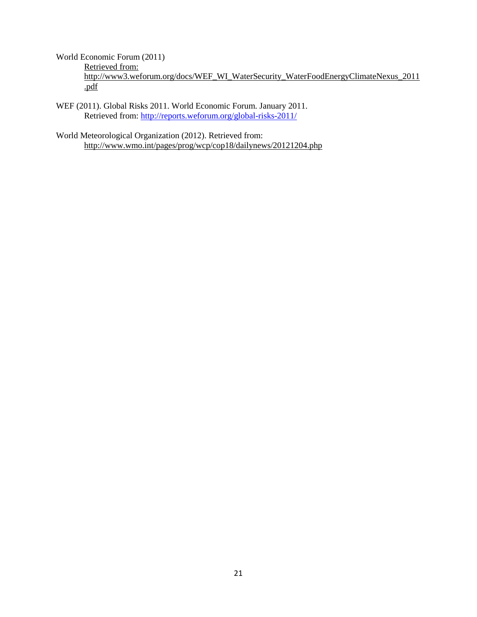World Economic Forum (2011) Retrieved from: [http://www3.weforum.org/docs/WEF\\_WI\\_WaterSecurity\\_WaterFoodEnergyClimateNexus\\_2011](http://www3.weforum.org/docs/WEF_WI_WaterSecurity_WaterFoodEnergyClimateNexus_2011.pdf) [.pdf](http://www3.weforum.org/docs/WEF_WI_WaterSecurity_WaterFoodEnergyClimateNexus_2011.pdf)

WEF (2011). Global Risks 2011. World Economic Forum. January 2011. Retrieved from:<http://reports.weforum.org/global-risks-2011/>

World Meteorological Organization (2012). Retrieved from: <http://www.wmo.int/pages/prog/wcp/cop18/dailynews/20121204.php>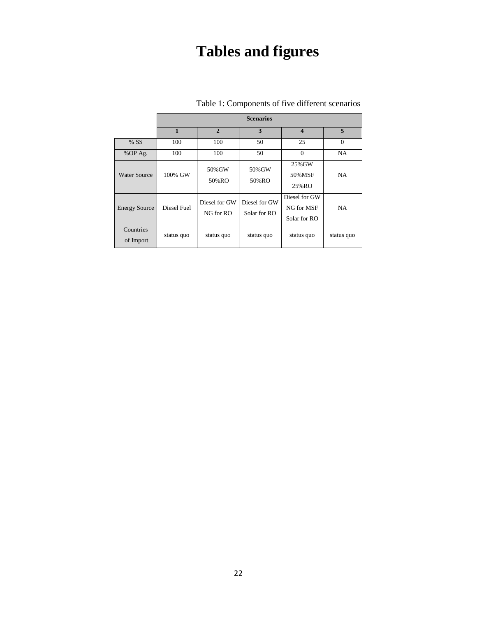# **Tables and figures**

|                        | <b>Scenarios</b> |                            |                               |                                             |            |  |  |  |
|------------------------|------------------|----------------------------|-------------------------------|---------------------------------------------|------------|--|--|--|
|                        | $\mathbf{1}$     | $\overline{2}$             | 3                             | $\boldsymbol{4}$                            | 5          |  |  |  |
| % SS                   | 100              | 100                        | 50                            | 25                                          | $\Omega$   |  |  |  |
| %OP Ag.                | 100              | 100                        | 50                            | $\Omega$                                    | <b>NA</b>  |  |  |  |
| Water Source           | 100% GW          | 50% GW<br>50%RO            | 50% GW<br>50%RO               | 25% GW<br>50% MSF<br>25%RO                  | <b>NA</b>  |  |  |  |
| <b>Energy Source</b>   | Diesel Fuel      | Diesel for GW<br>NG for RO | Diesel for GW<br>Solar for RO | Diesel for GW<br>NG for MSF<br>Solar for RO | <b>NA</b>  |  |  |  |
| Countries<br>of Import | status quo       | status quo                 | status quo                    | status quo                                  | status quo |  |  |  |

# Table 1: Components of five different scenarios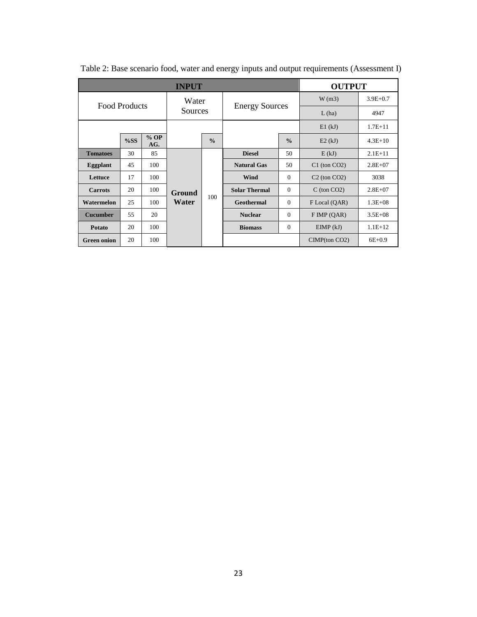| <b>INPUT</b>         |     |               |                 |                      | <b>OUTPUT</b>         |                  |                     |             |
|----------------------|-----|---------------|-----------------|----------------------|-----------------------|------------------|---------------------|-------------|
| <b>Food Products</b> |     | Water         |                 |                      |                       | W(m3)            | $3.9E + 0.7$        |             |
|                      |     |               | Sources         |                      | <b>Energy Sources</b> |                  | L(ha)               | 4947        |
|                      |     |               |                 |                      |                       | E1(kJ)           | $1.7E + 11$         |             |
|                      | %SS | $%$ OP<br>AG. |                 | $\frac{0}{0}$        |                       | $\frac{0}{0}$    | E2(kJ)              | $4.3E+10$   |
| <b>Tomatoes</b>      | 30  | 85            |                 |                      | <b>Diesel</b>         | 50               | E(kJ)               | $2.1E+11$   |
| Eggplant             | 45  | 100           | Ground<br>Water |                      | <b>Natural Gas</b>    | 50               | $C1$ (ton $CO2$ )   | $2.8E + 07$ |
| Lettuce              | 17  | 100           |                 |                      | <b>Wind</b>           | $\Omega$         | $C2$ (ton $CO2$ )   | 3038        |
| <b>Carrots</b>       | 20  | 100           |                 | <b>Solar Thermal</b> | $\theta$              | $C$ (ton $CO2$ ) | $2.8E + 07$         |             |
| Watermelon           | 25  | 100           |                 | 100                  | <b>Geothermal</b>     | $\Omega$         | F Local (QAR)       | $1.3E + 08$ |
| <b>Cucumber</b>      | 55  | 20            |                 |                      | <b>Nuclear</b>        | $\Omega$         | $F$ IMP (QAR)       | $3.5E + 08$ |
| <b>Potato</b>        | 20  | 100           |                 |                      | <b>Biomass</b>        | $\Omega$         | EIMP(kJ)            | $1.1E+12$   |
| <b>Green onion</b>   | 20  | 100           |                 |                      |                       |                  | $CIMP$ (ton $CO2$ ) | $6E + 0.9$  |

Table 2: Base scenario food, water and energy inputs and output requirements (Assessment I)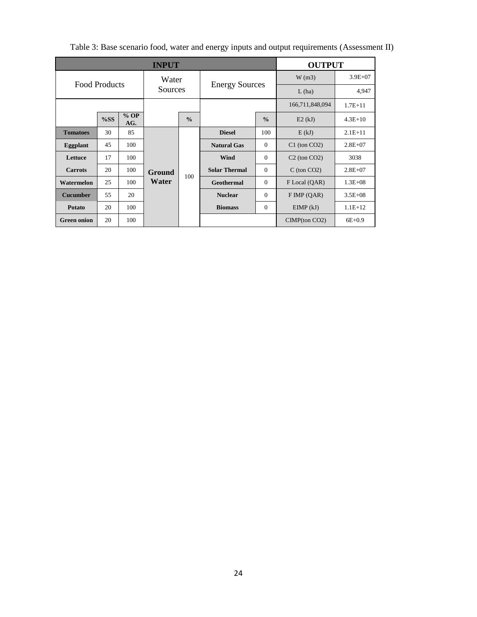| <b>INPUT</b>         |     |               |                 |               |                                                  | <b>OUTPUT</b>   |                     |             |
|----------------------|-----|---------------|-----------------|---------------|--------------------------------------------------|-----------------|---------------------|-------------|
| <b>Food Products</b> |     | Water         |                 |               |                                                  | W(m3)           | $3.9E + 07$         |             |
|                      |     |               | Sources         |               | <b>Energy Sources</b>                            |                 | L(ha)               | 4,947       |
|                      |     |               |                 |               |                                                  | 166,711,848,094 | $1.7E + 11$         |             |
|                      | %SS | $%$ OP<br>AG. |                 | $\frac{0}{0}$ |                                                  | $\frac{0}{0}$   | E2(kJ)              | $4.3E+10$   |
| <b>Tomatoes</b>      | 30  | 85            | Ground<br>Water |               | <b>Diesel</b>                                    | 100             | E(kJ)               | $2.1E+11$   |
| Eggplant             | 45  | 100           |                 |               | <b>Natural Gas</b>                               | $\Omega$        | $C1$ (ton $CO2$ )   | $2.8E + 07$ |
| Lettuce              | 17  | 100           |                 |               | <b>Wind</b>                                      | $\Omega$        | $C2$ (ton $CO2$ )   | 3038        |
| <b>Carrots</b>       | 20  | 100           |                 |               | <b>Solar Thermal</b><br>100<br><b>Geothermal</b> | $\Omega$        | $C$ (ton $CO2$ )    | $2.8E+07$   |
| Watermelon           | 25  | 100           |                 |               |                                                  | $\Omega$        | F Local (QAR)       | $1.3E + 08$ |
| <b>Cucumber</b>      | 55  | 20            |                 |               | <b>Nuclear</b>                                   | $\Omega$        | $F$ IMP (QAR)       | $3.5E + 08$ |
| <b>Potato</b>        | 20  | 100           |                 |               | <b>Biomass</b>                                   | $\Omega$        | EIMP(kJ)            | $1.1E+12$   |
| <b>Green onion</b>   | 20  | 100           |                 |               |                                                  |                 | $CIMP$ (ton $CO2$ ) | $6E + 0.9$  |

Table 3: Base scenario food, water and energy inputs and output requirements (Assessment II)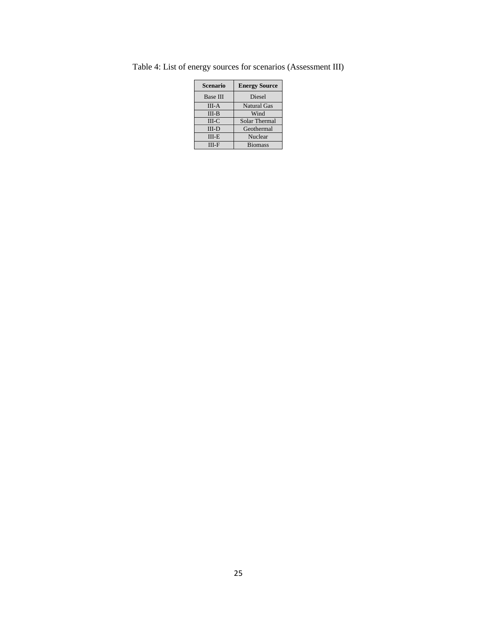| <b>Scenario</b> | <b>Energy Source</b> |  |  |
|-----------------|----------------------|--|--|
| <b>Base III</b> | <b>Diesel</b>        |  |  |
| $III-A$         | <b>Natural Gas</b>   |  |  |
| $III-B$         | Wind                 |  |  |
| $III-C$         | Solar Thermal        |  |  |
| $III-D$         | Geothermal           |  |  |
| $III-E$         | Nuclear              |  |  |
| III-F           | <b>Biomass</b>       |  |  |

Table 4: List of energy sources for scenarios (Assessment III)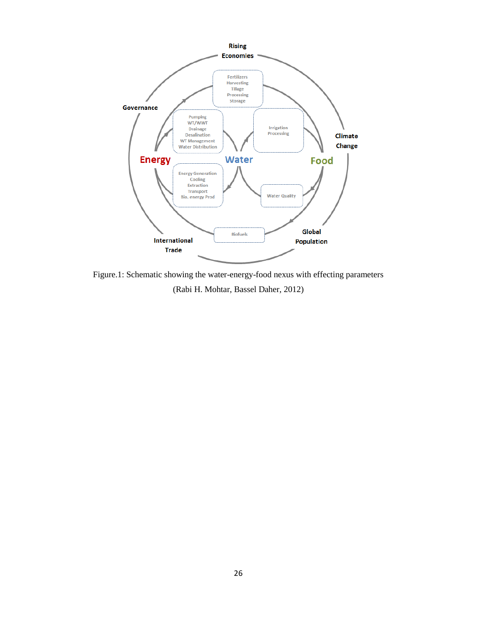

Figure.1: Schematic showing the water-energy-food nexus with effecting parameters (Rabi H. Mohtar, Bassel Daher, 2012)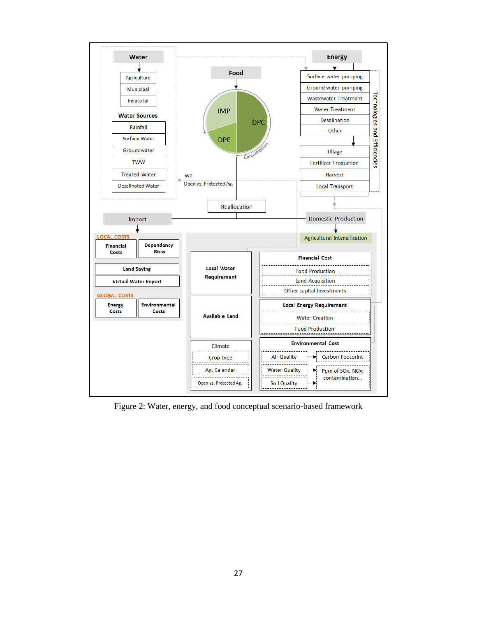

Figure 2: Water, energy, and food conceptual scenario-based framework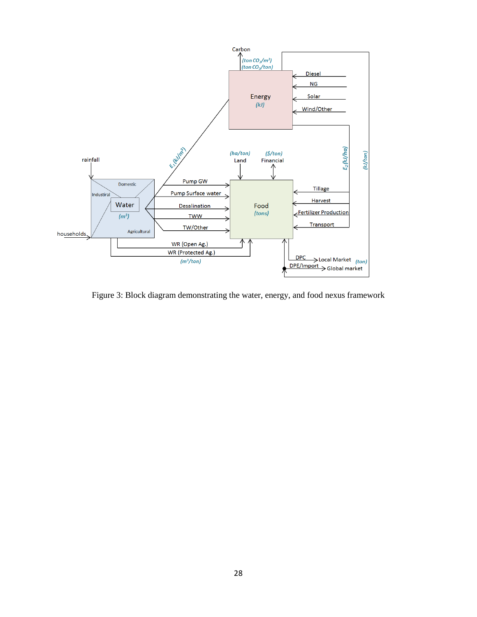

Figure 3: Block diagram demonstrating the water, energy, and food nexus framework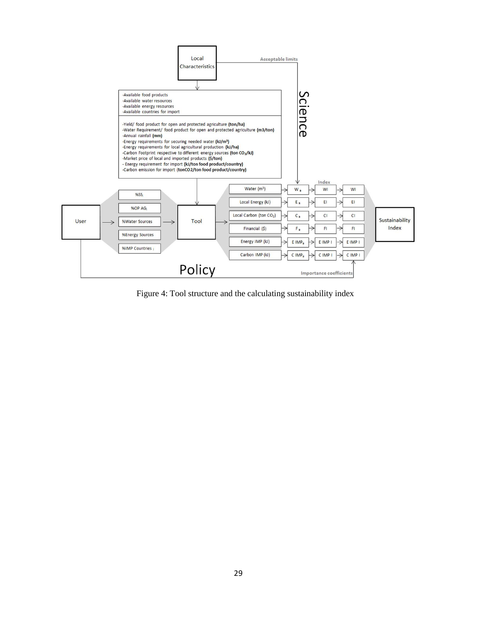

Figure 4: Tool structure and the calculating sustainability index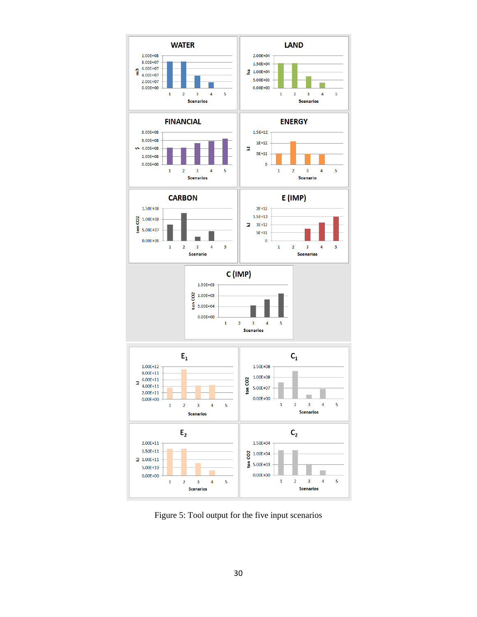

Figure 5: Tool output for the five input scenarios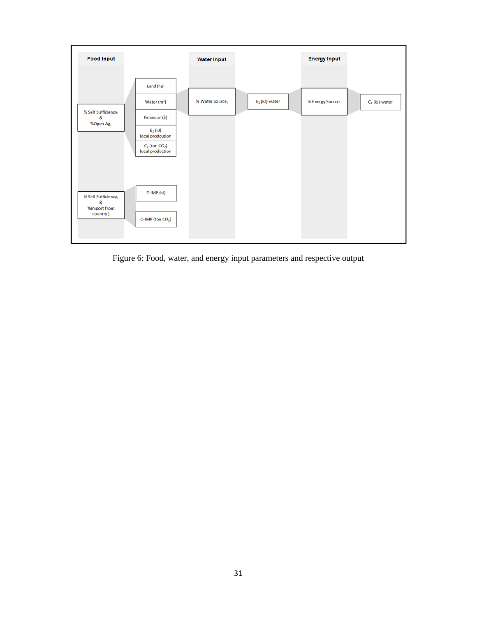

Figure 6: Food, water, and energy input parameters and respective output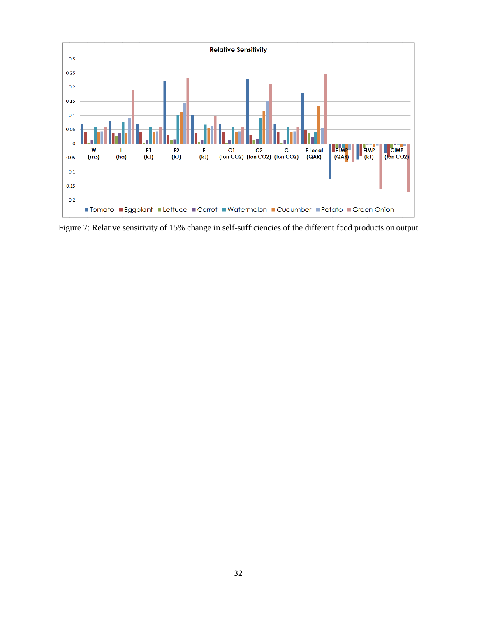

Figure 7: Relative sensitivity of 15% change in self-sufficiencies of the different food products on output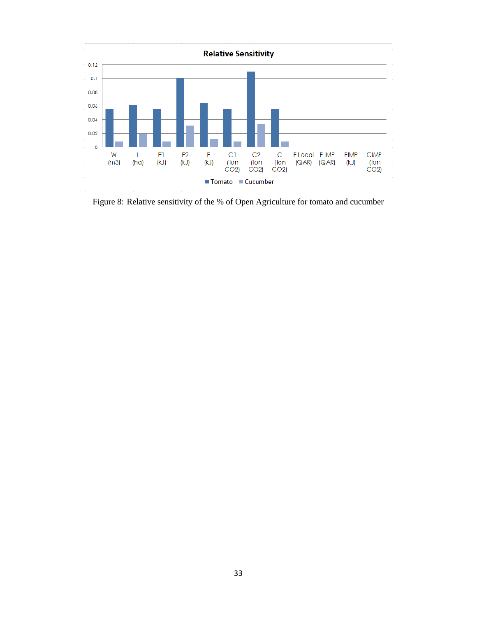

Figure 8: Relative sensitivity of the % of Open Agriculture for tomato and cucumber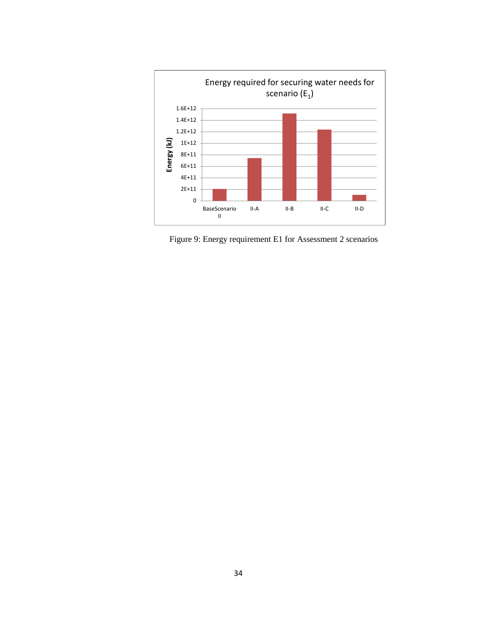

Figure 9: Energy requirement E1 for Assessment 2 scenarios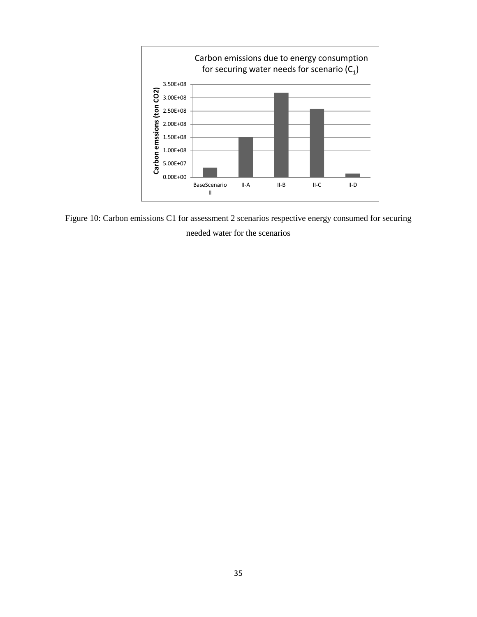

Figure 10: Carbon emissions C1 for assessment 2 scenarios respective energy consumed for securing needed water for the scenarios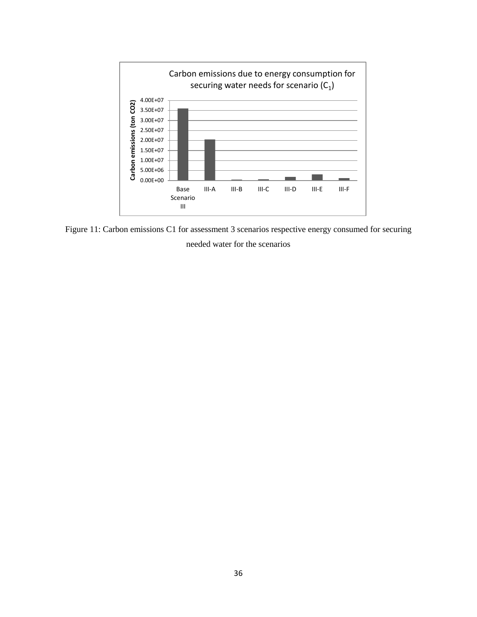

Figure 11: Carbon emissions C1 for assessment 3 scenarios respective energy consumed for securing needed water for the scenarios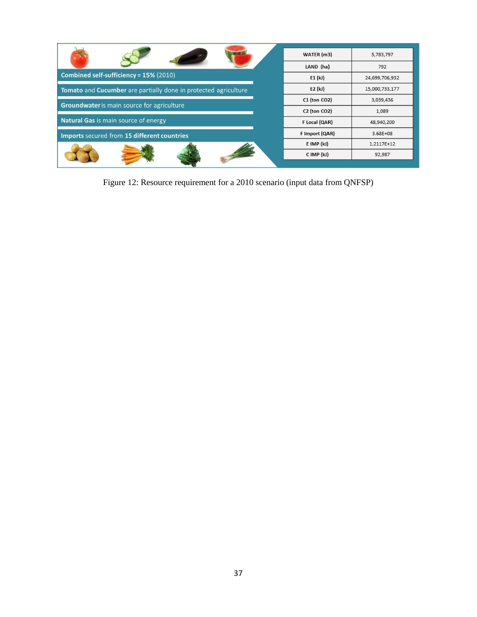|                                                                 | WATER (m3)     | 5,783,797      |
|-----------------------------------------------------------------|----------------|----------------|
|                                                                 | LAND (ha)      | 792            |
| Combined self-sufficiency = 15% (2010)                          | E1(k)          | 24,699,706,932 |
| Tomato and Cucumber are partially done in protected agriculture | E2(kJ)         | 15,000,733,177 |
|                                                                 | C1 (ton CO2)   | 3,039,436      |
| Groundwater is main source for agriculture                      | C2 (ton CO2)   | 1,089          |
| <b>Natural Gas is main source of energy</b>                     | F Local (QAR)  | 48,940,200     |
| Imports secured from 15 different countries                     | F Import (QAR) | $3.68E + 08$   |
|                                                                 | $E$ IMP $(kJ)$ | 1.2117E+12     |
|                                                                 | C IMP (kJ)     | 92,987         |

Figure 12: Resource requirement for a 2010 scenario (input data from QNFSP)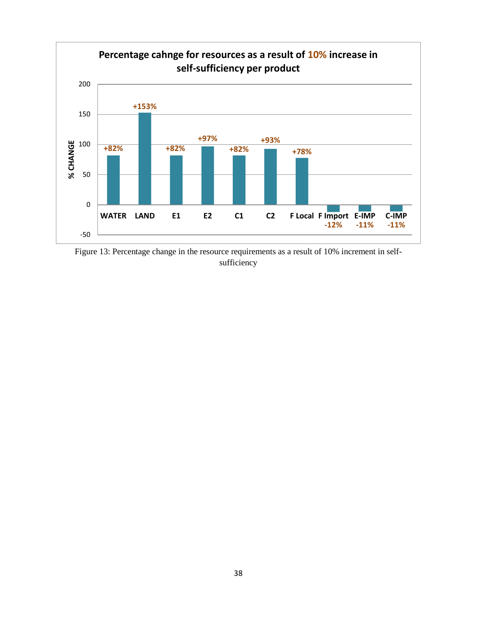

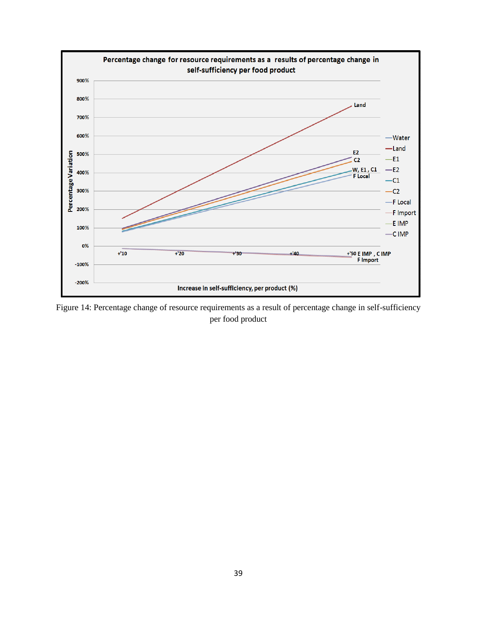

Figure 14: Percentage change of resource requirements as a result of percentage change in self-sufficiency per food product